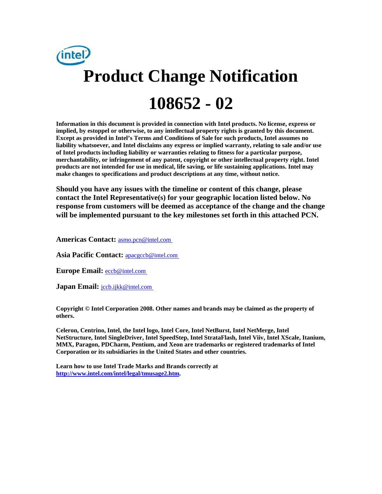

**Information in this document is provided in connection with Intel products. No license, express or implied, by estoppel or otherwise, to any intellectual property rights is granted by this document. Except as provided in Intel's Terms and Conditions of Sale for such products, Intel assumes no liability whatsoever, and Intel disclaims any express or implied warranty, relating to sale and/or use of Intel products including liability or warranties relating to fitness for a particular purpose, merchantability, or infringement of any patent, copyright or other intellectual property right. Intel products are not intended for use in medical, life saving, or life sustaining applications. Intel may make changes to specifications and product descriptions at any time, without notice.** 

**Should you have any issues with the timeline or content of this change, please contact the Intel Representative(s) for your geographic location listed below. No response from customers will be deemed as acceptance of the change and the change will be implemented pursuant to the key milestones set forth in this attached PCN.** 

**Americas Contact:** [asmo.pcn@intel.com](mailto:asmo.pcn@intel.com) 

**Asia Pacific Contact:** [apacgccb@intel.com](mailto:apacgccb@intel.com) 

Europe Email: **eccb@intel.com** 

**Japan Email:** *jccb.ijkk@intel.com* 

**Copyright © Intel Corporation 2008. Other names and brands may be claimed as the property of others.**

**Celeron, Centrino, Intel, the Intel logo, Intel Core, Intel NetBurst, Intel NetMerge, Intel NetStructure, Intel SingleDriver, Intel SpeedStep, Intel StrataFlash, Intel Viiv, Intel XScale, Itanium, MMX, Paragon, PDCharm, Pentium, and Xeon are trademarks or registered trademarks of Intel Corporation or its subsidiaries in the United States and other countries.** 

**Learn how to use Intel Trade Marks and Brands correctly at [http://www.intel.com/intel/legal/tmusage2.htm.](http://www.intel.com/intel/legal/tmusage2.htm)**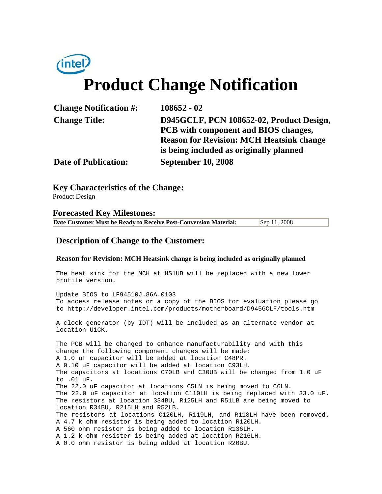# **Product Change Notification**

| <b>Change Notification #:</b> | $108652 - 02$                                   |
|-------------------------------|-------------------------------------------------|
| <b>Change Title:</b>          | D945GCLF, PCN 108652-02, Product Design,        |
|                               | PCB with component and BIOS changes,            |
|                               | <b>Reason for Revision: MCH Heatsink change</b> |
|                               | is being included as originally planned         |
| <b>Date of Publication:</b>   | <b>September 10, 2008</b>                       |
|                               |                                                 |

**Key Characteristics of the Change:**

Product Design

### **Forecasted Key Milestones:**

| Date Customer Must be Ready to Receive Post-Conversion Material: | Sep 11, 2008 |
|------------------------------------------------------------------|--------------|
|------------------------------------------------------------------|--------------|

# **Description of Change to the Customer:**

#### **Reason for Revision: MCH Heatsink change is being included as originally planned**

The heat sink for the MCH at HS1UB will be replaced with a new lower profile version. Update BIOS to LF94510J.86A.0103 To access release notes or a copy of the BIOS for evaluation please go to http://developer.intel.com/products/motherboard/D945GCLF/tools.htm A clock generator (by IDT) will be included as an alternate vendor at location U1CK. The PCB will be changed to enhance manufacturability and with this change the following component changes will be made: A 1.0 uF capacitor will be added at location C48PR. A 0.10 uF capacitor will be added at location C93LH. The capacitors at locations C70LB and C30UB will be changed from 1.0 uF

to .01 uF. The 22.0 uF capacitor at locations C5LN is being moved to C6LN. The 22.0 uF capacitor at location C110LH is being replaced with 33.0 uF. The resistors at location 334BU, R125LH and R51LB are being moved to location R34BU, R215LH and R52LB. The resistors at locations C120LH, R119LH, and R118LH have been removed. A 4.7 k ohm resistor is being added to location R120LH. A 560 ohm resistor is being added to location R136LH.

A 1.2 k ohm resister is being added at location R216LH. A 0.0 ohm resistor is being added at location R20BU.